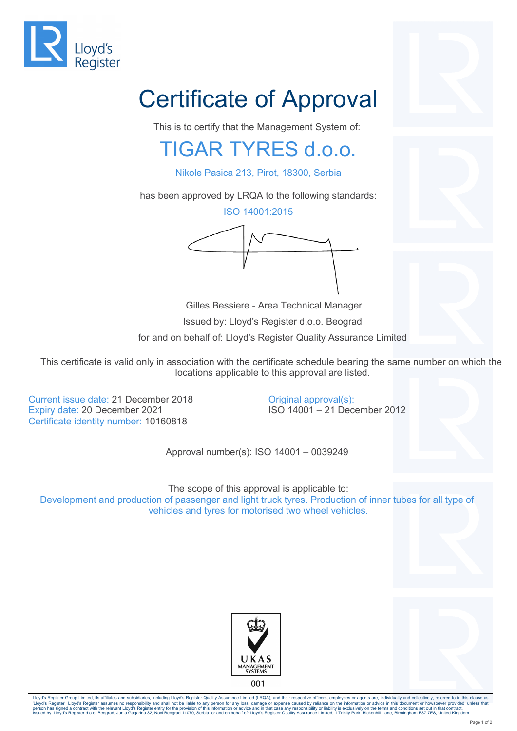

## Certificate of Approval

This is to certify that the Management System of:

## TIGAR TYRES d.o.o.

Nikole Pasica 213, Pirot, 18300, Serbia

has been approved by LRQA to the following standards:

ISO 14001:2015



 Gilles Bessiere - Area Technical Manager Issued by: Lloyd's Register d.o.o. Beograd for and on behalf of: Lloyd's Register Quality Assurance Limited

This certificate is valid only in association with the certificate schedule bearing the same number on which the locations applicable to this approval are listed.

> Original approval(s): ISO 14001 – 21 December 2012

Current issue date: 21 December 2018 Expiry date: 20 December 2021 Certificate identity number: 10160818

Approval number(s): ISO 14001 – 0039249

The scope of this approval is applicable to: Development and production of passenger and light truck tyres. Production of inner tubes for all type of vehicles and tyres for motorised two wheel vehicles.





Lloyd's Register Group Limited, its affiliates and subsidiaries, including Lloyd's Register Quality Assurance Limited (LRQA), and their respective officers, employees or agents are, individually and collectively, referred